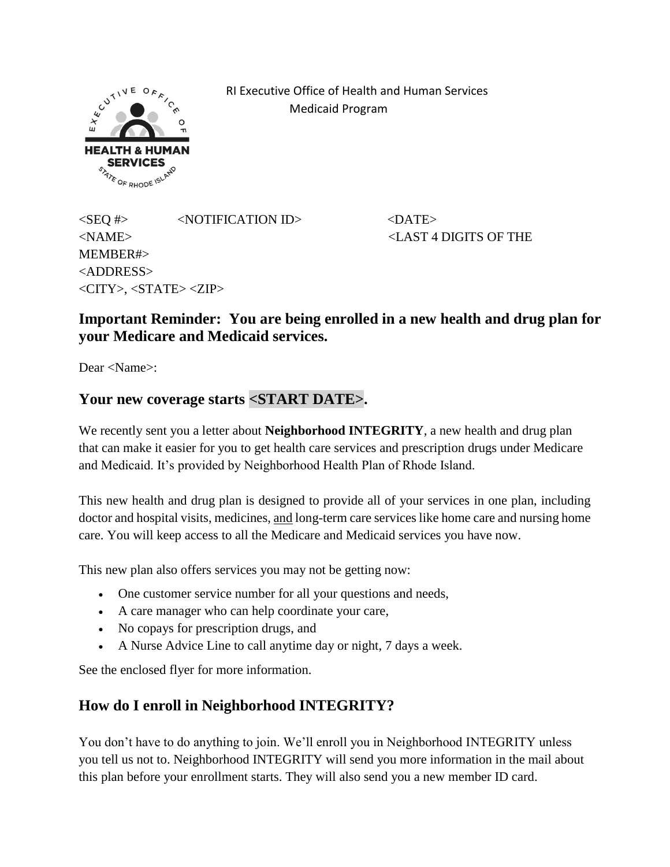

 RI Executive Office of Health and Human Services Medicaid Program

 $\langle$ SEO #>  $\langle$ NOTIFICATION ID>  $\langle$ DATE> <NAME> <LAST 4 DIGITS OF THE MEMBER#> <ADDRESS> <CITY>, <STATE> <ZIP>

## **Important Reminder: You are being enrolled in a new health and drug plan for your Medicare and Medicaid services.**

Dear <Name>:

#### **Your new coverage starts <START DATE>.**

We recently sent you a letter about **Neighborhood INTEGRITY**, a new health and drug plan that can make it easier for you to get health care services and prescription drugs under Medicare and Medicaid. It's provided by Neighborhood Health Plan of Rhode Island.

This new health and drug plan is designed to provide all of your services in one plan, including doctor and hospital visits, medicines, and long-term care services like home care and nursing home care. You will keep access to all the Medicare and Medicaid services you have now.

This new plan also offers services you may not be getting now:

- One customer service number for all your questions and needs,
- A care manager who can help coordinate your care,
- No copays for prescription drugs, and
- A Nurse Advice Line to call anytime day or night, 7 days a week.

See the enclosed flyer for more information.

### **How do I enroll in Neighborhood INTEGRITY?**

You don't have to do anything to join. We'll enroll you in Neighborhood INTEGRITY unless you tell us not to. Neighborhood INTEGRITY will send you more information in the mail about this plan before your enrollment starts. They will also send you a new member ID card.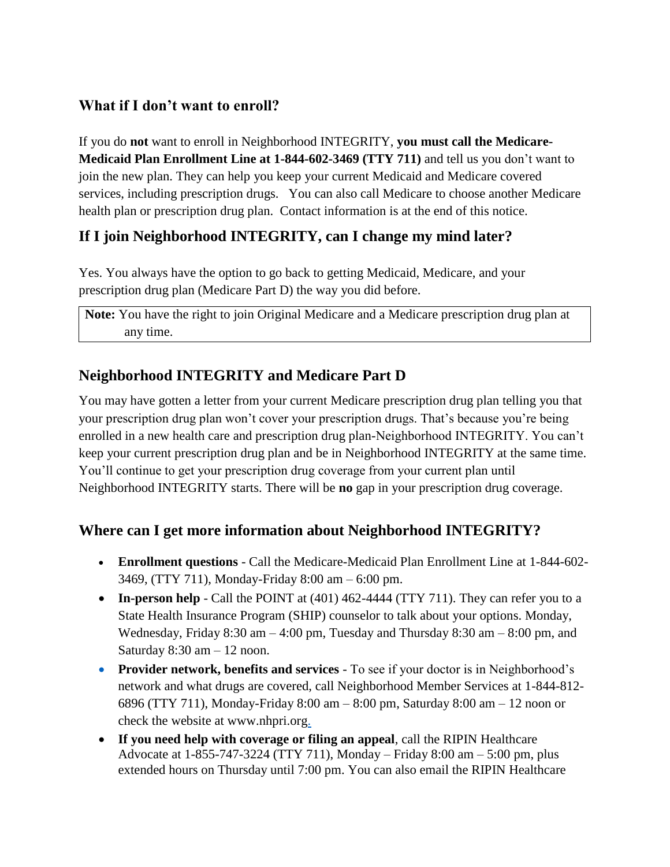## **What if I don't want to enroll?**

If you do **not** want to enroll in Neighborhood INTEGRITY, **you must call the Medicare-Medicaid Plan Enrollment Line at 1-844-602-3469 (TTY 711)** and tell us you don't want to join the new plan. They can help you keep your current Medicaid and Medicare covered services, including prescription drugs. You can also call Medicare to choose another Medicare health plan or prescription drug plan. Contact information is at the end of this notice.

## **If I join Neighborhood INTEGRITY, can I change my mind later?**

Yes. You always have the option to go back to getting Medicaid, Medicare, and your prescription drug plan (Medicare Part D) the way you did before.

**Note:** You have the right to join Original Medicare and a Medicare prescription drug plan at any time.

# **Neighborhood INTEGRITY and Medicare Part D**

You may have gotten a letter from your current Medicare prescription drug plan telling you that your prescription drug plan won't cover your prescription drugs. That's because you're being enrolled in a new health care and prescription drug plan-Neighborhood INTEGRITY. You can't keep your current prescription drug plan and be in Neighborhood INTEGRITY at the same time. You'll continue to get your prescription drug coverage from your current plan until Neighborhood INTEGRITY starts. There will be **no** gap in your prescription drug coverage.

## **Where can I get more information about Neighborhood INTEGRITY?**

- **Enrollment questions** Call the Medicare-Medicaid Plan Enrollment Line at 1-844-602- 3469, (TTY 711), Monday-Friday 8:00 am – 6:00 pm.
- **In-person help** Call the POINT at (401) 462-4444 (TTY 711). They can refer you to a State Health Insurance Program (SHIP) counselor to talk about your options. Monday, Wednesday, Friday 8:30 am  $-4:00$  pm, Tuesday and Thursday 8:30 am  $-8:00$  pm, and Saturday 8:30 am – 12 noon.
- **Provider network, benefits and services** To see if your doctor is in Neighborhood's network and what drugs are covered, call Neighborhood Member Services at 1-844-812- 6896 (TTY 711), Monday-Friday 8:00 am – 8:00 pm, Saturday 8:00 am – 12 noon or check the website at www.nhpri.org.
- **If you need help with coverage or filing an appeal**, call the RIPIN Healthcare Advocate at 1-855-747-3224 (TTY 711), Monday – Friday 8:00 am – 5:00 pm, plus extended hours on Thursday until 7:00 pm. You can also email the RIPIN Healthcare